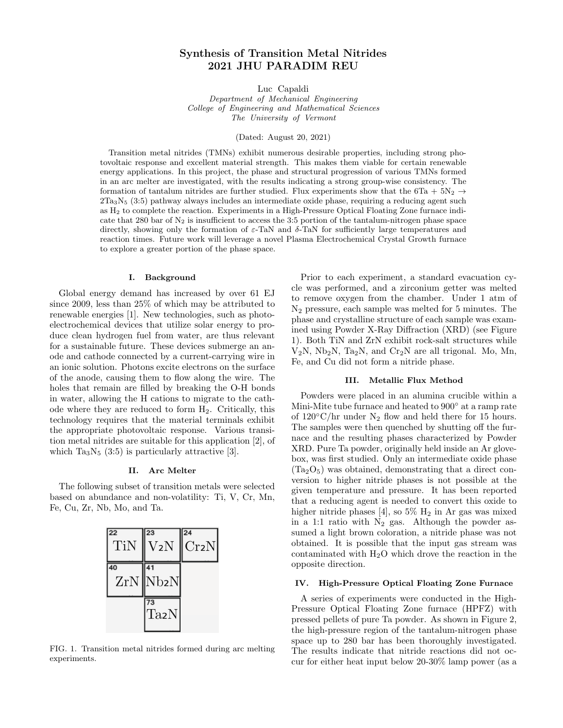# Synthesis of Transition Metal Nitrides 2021 JHU PARADIM REU

Luc Capaldi

Department of Mechanical Engineering College of Engineering and Mathematical Sciences The University of Vermont

(Dated: August 20, 2021)

Transition metal nitrides (TMNs) exhibit numerous desirable properties, including strong photovoltaic response and excellent material strength. This makes them viable for certain renewable energy applications. In this project, the phase and structural progression of various TMNs formed in an arc melter are investigated, with the results indicating a strong group-wise consistency. The formation of tantalum nitrides are further studied. Flux experiments show that the 6Ta +  $5N_2 \rightarrow$  $2Ta_3N_5$  (3:5) pathway always includes an intermediate oxide phase, requiring a reducing agent such as H<sup>2</sup> to complete the reaction. Experiments in a High-Pressure Optical Floating Zone furnace indicate that 280 bar of  $N_2$  is insufficient to access the 3:5 portion of the tantalum-nitrogen phase space directly, showing only the formation of  $\varepsilon$ -TaN and  $\delta$ -TaN for sufficiently large temperatures and reaction times. Future work will leverage a novel Plasma Electrochemical Crystal Growth furnace to explore a greater portion of the phase space.

# I. Background

Global energy demand has increased by over 61 EJ since 2009, less than 25% of which may be attributed to renewable energies [1]. New technologies, such as photoelectrochemical devices that utilize solar energy to produce clean hydrogen fuel from water, are thus relevant for a sustainable future. These devices submerge an anode and cathode connected by a current-carrying wire in an ionic solution. Photons excite electrons on the surface of the anode, causing them to flow along the wire. The holes that remain are filled by breaking the O-H bonds in water, allowing the H cations to migrate to the cathode where they are reduced to form  $H_2$ . Critically, this technology requires that the material terminals exhibit the appropriate photovoltaic response. Various transition metal nitrides are suitable for this application [2], of which  $Ta_3N_5$  (3:5) is particularly attractive [3].

# II. Arc Melter

The following subset of transition metals were selected based on abundance and non-volatility: Ti, V, Cr, Mn, Fe, Cu, Zr, Nb, Mo, and Ta.



FIG. 1. Transition metal nitrides formed during arc melting experiments.

Prior to each experiment, a standard evacuation cycle was performed, and a zirconium getter was melted to remove oxygen from the chamber. Under 1 atm of N<sup>2</sup> pressure, each sample was melted for 5 minutes. The phase and crystalline structure of each sample was examined using Powder X-Ray Diffraction (XRD) (see Figure 1). Both TiN and ZrN exhibit rock-salt structures while  $V_2N$ ,  $Nb_2N$ ,  $Ta_2N$ , and  $Cr_2N$  are all trigonal. Mo, Mn, Fe, and Cu did not form a nitride phase.

### III. Metallic Flux Method

Powders were placed in an alumina crucible within a Mini-Mite tube furnace and heated to 900 $\degree$  at a ramp rate of  $120^{\circ}$ C/hr under N<sub>2</sub> flow and held there for 15 hours. The samples were then quenched by shutting off the furnace and the resulting phases characterized by Powder XRD. Pure Ta powder, originally held inside an Ar glovebox, was first studied. Only an intermediate oxide phase  $(Ta<sub>2</sub>O<sub>5</sub>)$  was obtained, demonstrating that a direct conversion to higher nitride phases is not possible at the given temperature and pressure. It has been reported that a reducing agent is needed to convert this oxide to higher nitride phases [4], so  $5\%$  H<sub>2</sub> in Ar gas was mixed in a 1:1 ratio with  $N_2$  gas. Although the powder assumed a light brown coloration, a nitride phase was not obtained. It is possible that the input gas stream was contaminated with  $H_2O$  which drove the reaction in the opposite direction.

## IV. High-Pressure Optical Floating Zone Furnace

A series of experiments were conducted in the High-Pressure Optical Floating Zone furnace (HPFZ) with pressed pellets of pure Ta powder. As shown in Figure 2, the high-pressure region of the tantalum-nitrogen phase space up to 280 bar has been thoroughly investigated. The results indicate that nitride reactions did not occur for either heat input below 20-30% lamp power (as a